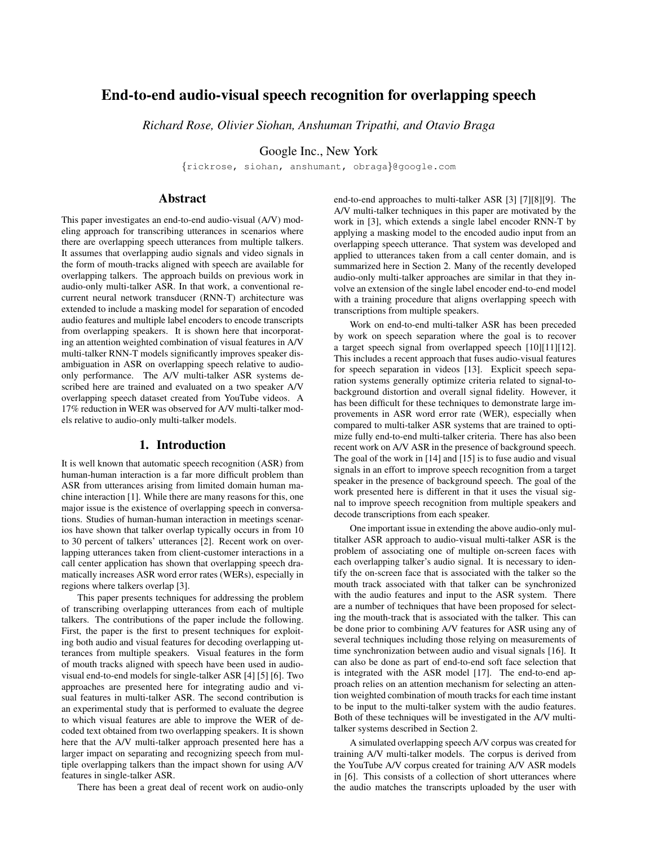# End-to-end audio-visual speech recognition for overlapping speech

*Richard Rose, Olivier Siohan, Anshuman Tripathi, and Otavio Braga*

Google Inc., New York

{rickrose, siohan, anshumant, obraga}@google.com

# Abstract

This paper investigates an end-to-end audio-visual (A/V) modeling approach for transcribing utterances in scenarios where there are overlapping speech utterances from multiple talkers. It assumes that overlapping audio signals and video signals in the form of mouth-tracks aligned with speech are available for overlapping talkers. The approach builds on previous work in audio-only multi-talker ASR. In that work, a conventional recurrent neural network transducer (RNN-T) architecture was extended to include a masking model for separation of encoded audio features and multiple label encoders to encode transcripts from overlapping speakers. It is shown here that incorporating an attention weighted combination of visual features in A/V multi-talker RNN-T models significantly improves speaker disambiguation in ASR on overlapping speech relative to audioonly performance. The A/V multi-talker ASR systems described here are trained and evaluated on a two speaker A/V overlapping speech dataset created from YouTube videos. A 17% reduction in WER was observed for A/V multi-talker models relative to audio-only multi-talker models.

# 1. Introduction

It is well known that automatic speech recognition (ASR) from human-human interaction is a far more difficult problem than ASR from utterances arising from limited domain human machine interaction [1]. While there are many reasons for this, one major issue is the existence of overlapping speech in conversations. Studies of human-human interaction in meetings scenarios have shown that talker overlap typically occurs in from 10 to 30 percent of talkers' utterances [2]. Recent work on overlapping utterances taken from client-customer interactions in a call center application has shown that overlapping speech dramatically increases ASR word error rates (WERs), especially in regions where talkers overlap [3].

This paper presents techniques for addressing the problem of transcribing overlapping utterances from each of multiple talkers. The contributions of the paper include the following. First, the paper is the first to present techniques for exploiting both audio and visual features for decoding overlapping utterances from multiple speakers. Visual features in the form of mouth tracks aligned with speech have been used in audiovisual end-to-end models for single-talker ASR [4] [5] [6]. Two approaches are presented here for integrating audio and visual features in multi-talker ASR. The second contribution is an experimental study that is performed to evaluate the degree to which visual features are able to improve the WER of decoded text obtained from two overlapping speakers. It is shown here that the A/V multi-talker approach presented here has a larger impact on separating and recognizing speech from multiple overlapping talkers than the impact shown for using A/V features in single-talker ASR.

There has been a great deal of recent work on audio-only

end-to-end approaches to multi-talker ASR [3] [7][8][9]. The A/V multi-talker techniques in this paper are motivated by the work in [3], which extends a single label encoder RNN-T by applying a masking model to the encoded audio input from an overlapping speech utterance. That system was developed and applied to utterances taken from a call center domain, and is summarized here in Section 2. Many of the recently developed audio-only multi-talker approaches are similar in that they involve an extension of the single label encoder end-to-end model with a training procedure that aligns overlapping speech with transcriptions from multiple speakers.

Work on end-to-end multi-talker ASR has been preceded by work on speech separation where the goal is to recover a target speech signal from overlapped speech [10][11][12]. This includes a recent approach that fuses audio-visual features for speech separation in videos [13]. Explicit speech separation systems generally optimize criteria related to signal-tobackground distortion and overall signal fidelity. However, it has been difficult for these techniques to demonstrate large improvements in ASR word error rate (WER), especially when compared to multi-talker ASR systems that are trained to optimize fully end-to-end multi-talker criteria. There has also been recent work on A/V ASR in the presence of background speech. The goal of the work in [14] and [15] is to fuse audio and visual signals in an effort to improve speech recognition from a target speaker in the presence of background speech. The goal of the work presented here is different in that it uses the visual signal to improve speech recognition from multiple speakers and decode transcriptions from each speaker.

One important issue in extending the above audio-only multitalker ASR approach to audio-visual multi-talker ASR is the problem of associating one of multiple on-screen faces with each overlapping talker's audio signal. It is necessary to identify the on-screen face that is associated with the talker so the mouth track associated with that talker can be synchronized with the audio features and input to the ASR system. There are a number of techniques that have been proposed for selecting the mouth-track that is associated with the talker. This can be done prior to combining A/V features for ASR using any of several techniques including those relying on measurements of time synchronization between audio and visual signals [16]. It can also be done as part of end-to-end soft face selection that is integrated with the ASR model [17]. The end-to-end approach relies on an attention mechanism for selecting an attention weighted combination of mouth tracks for each time instant to be input to the multi-talker system with the audio features. Both of these techniques will be investigated in the A/V multitalker systems described in Section 2.

A simulated overlapping speech A/V corpus was created for training A/V multi-talker models. The corpus is derived from the YouTube A/V corpus created for training A/V ASR models in [6]. This consists of a collection of short utterances where the audio matches the transcripts uploaded by the user with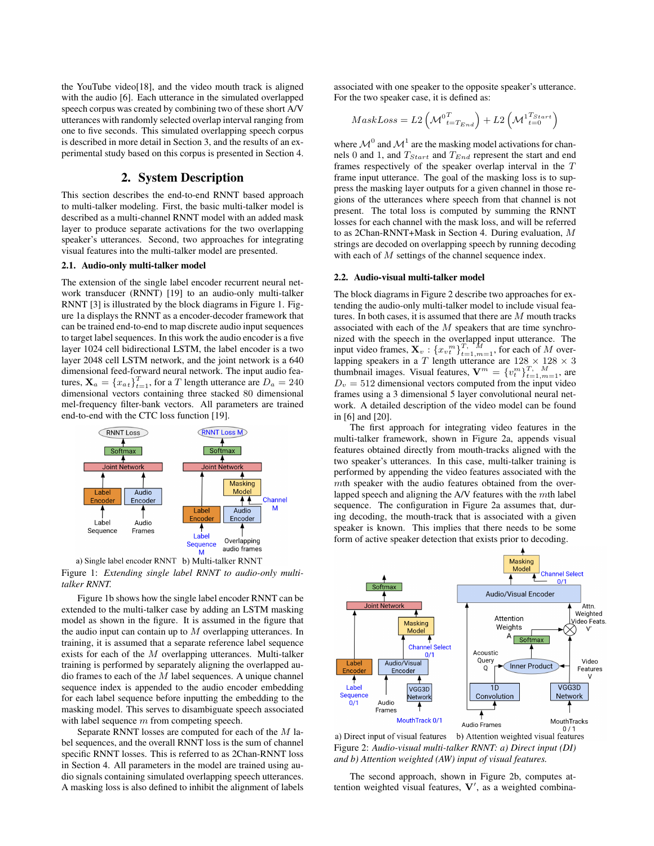the YouTube video[18], and the video mouth track is aligned with the audio [6]. Each utterance in the simulated overlapped speech corpus was created by combining two of these short A/V utterances with randomly selected overlap interval ranging from one to five seconds. This simulated overlapping speech corpus is described in more detail in Section 3, and the results of an experimental study based on this corpus is presented in Section 4.

# 2. System Description

This section describes the end-to-end RNNT based approach to multi-talker modeling. First, the basic multi-talker model is described as a multi-channel RNNT model with an added mask layer to produce separate activations for the two overlapping speaker's utterances. Second, two approaches for integrating visual features into the multi-talker model are presented.

#### 2.1. Audio-only multi-talker model

The extension of the single label encoder recurrent neural network transducer (RNNT) [19] to an audio-only multi-talker RNNT [3] is illustrated by the block diagrams in Figure 1. Figure 1a displays the RNNT as a encoder-decoder framework that can be trained end-to-end to map discrete audio input sequences to target label sequences. In this work the audio encoder is a five layer 1024 cell bidirectional LSTM, the label encoder is a two layer 2048 cell LSTM network, and the joint network is a 640 dimensional feed-forward neural network. The input audio features,  $\mathbf{X}_a = \{x_{a} \}_{i=1}^T$ , for a T length utterance are  $D_a = 240$ dimensional vectors containing three stacked 80 dimensional mel-frequency filter-bank vectors. All parameters are trained end-to-end with the CTC loss function [19].



a) Single label encoder RNNT b) Multi-talker RNNT Figure 1: *Extending single label RNNT to audio-only multi-*

*talker RNNT.* Figure 1b shows how the single label encoder RNNT can be extended to the multi-talker case by adding an LSTM masking model as shown in the figure. It is assumed in the figure that the audio input can contain up to  $M$  overlapping utterances. In training, it is assumed that a separate reference label sequence exists for each of the M overlapping utterances. Multi-talker training is performed by separately aligning the overlapped audio frames to each of the  $M$  label sequences. A unique channel sequence index is appended to the audio encoder embedding for each label sequence before inputting the embedding to the masking model. This serves to disambiguate speech associated with label sequence  $m$  from competing speech.

Separate RNNT losses are computed for each of the M label sequences, and the overall RNNT loss is the sum of channel specific RNNT losses. This is referred to as 2Chan-RNNT loss in Section 4. All parameters in the model are trained using audio signals containing simulated overlapping speech utterances. A masking loss is also defined to inhibit the alignment of labels associated with one speaker to the opposite speaker's utterance. For the two speaker case, it is defined as:

$$
MaskLoss = L2\left(\mathcal{M}_{t=T_{End}}^{0T}\right) + L2\left(\mathcal{M}_{t=0}^{1T_{Start}}\right)
$$

where  $\mathcal{M}^0$  and  $\mathcal{M}^1$  are the masking model activations for channels 0 and 1, and  $T_{Start}$  and  $T_{End}$  represent the start and end frames respectively of the speaker overlap interval in the T frame input utterance. The goal of the masking loss is to suppress the masking layer outputs for a given channel in those regions of the utterances where speech from that channel is not present. The total loss is computed by summing the RNNT losses for each channel with the mask loss, and will be referred to as 2Chan-RNNT+Mask in Section 4. During evaluation, M strings are decoded on overlapping speech by running decoding with each of M settings of the channel sequence index.

### 2.2. Audio-visual multi-talker model

The block diagrams in Figure 2 describe two approaches for extending the audio-only multi-talker model to include visual features. In both cases, it is assumed that there are M mouth tracks associated with each of the  $M$  speakers that are time synchronized with the speech in the overlapped input utterance. The input video frames,  $\mathbf{X}_v$ :  $\{x_v^m\}_{t=1,m=1}^{T, \Lambda}$ , for each of M overlapping speakers in a T length utterance are  $128 \times 128 \times 3$ thumbnail images. Visual features,  $\mathbf{V}^m = \{v_t^m\}_{t=1,m=1}^{T, M}$ , are  $D<sub>v</sub> = 512$  dimensional vectors computed from the input video frames using a 3 dimensional 5 layer convolutional neural network. A detailed description of the video model can be found in [6] and [20].

The first approach for integrating video features in the multi-talker framework, shown in Figure 2a, appends visual features obtained directly from mouth-tracks aligned with the two speaker's utterances. In this case, multi-talker training is performed by appending the video features associated with the mth speaker with the audio features obtained from the overlapped speech and aligning the A/V features with the mth label sequence. The configuration in Figure 2a assumes that, during decoding, the mouth-track that is associated with a given speaker is known. This implies that there needs to be some form of active speaker detection that exists prior to decoding.



a) Direct input of visual features b) Attention weighted visual features Figure 2: *Audio-visual multi-talker RNNT: a) Direct input (DI) and b) Attention weighted (AW) input of visual features.*

The second approach, shown in Figure 2b, computes attention weighted visual features,  $V'$ , as a weighted combina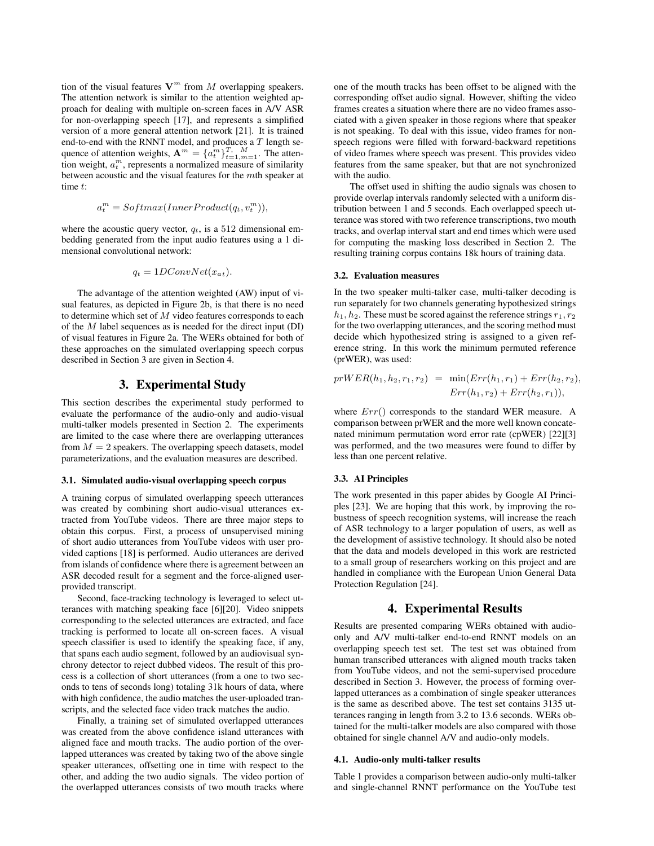tion of the visual features  $V^m$  from M overlapping speakers. The attention network is similar to the attention weighted approach for dealing with multiple on-screen faces in A/V ASR for non-overlapping speech [17], and represents a simplified version of a more general attention network [21]. It is trained end-to-end with the RNNT model, and produces a  $T$  length sequence of attention weights,  $\mathbf{A}^m = \{\hat{a}_t^m\}_{t=1,m=1}^T$ . The attention weight,  $a_t^m$ , represents a normalized measure of similarity between acoustic and the visual features for the mth speaker at time t:

$$
a_t^m = Softmax(InnerProduct(q_t, v_t^m)),
$$

where the acoustic query vector,  $q_t$ , is a 512 dimensional embedding generated from the input audio features using a 1 dimensional convolutional network:

$$
q_t = 1DConvNet(x_{at}).
$$

The advantage of the attention weighted (AW) input of visual features, as depicted in Figure 2b, is that there is no need to determine which set of  $M$  video features corresponds to each of the  $M$  label sequences as is needed for the direct input (DI) of visual features in Figure 2a. The WERs obtained for both of these approaches on the simulated overlapping speech corpus described in Section 3 are given in Section 4.

# 3. Experimental Study

This section describes the experimental study performed to evaluate the performance of the audio-only and audio-visual multi-talker models presented in Section 2. The experiments are limited to the case where there are overlapping utterances from  $M = 2$  speakers. The overlapping speech datasets, model parameterizations, and the evaluation measures are described.

#### 3.1. Simulated audio-visual overlapping speech corpus

A training corpus of simulated overlapping speech utterances was created by combining short audio-visual utterances extracted from YouTube videos. There are three major steps to obtain this corpus. First, a process of unsupervised mining of short audio utterances from YouTube videos with user provided captions [18] is performed. Audio utterances are derived from islands of confidence where there is agreement between an ASR decoded result for a segment and the force-aligned userprovided transcript.

Second, face-tracking technology is leveraged to select utterances with matching speaking face [6][20]. Video snippets corresponding to the selected utterances are extracted, and face tracking is performed to locate all on-screen faces. A visual speech classifier is used to identify the speaking face, if any, that spans each audio segment, followed by an audiovisual synchrony detector to reject dubbed videos. The result of this process is a collection of short utterances (from a one to two seconds to tens of seconds long) totaling 31k hours of data, where with high confidence, the audio matches the user-uploaded transcripts, and the selected face video track matches the audio.

Finally, a training set of simulated overlapped utterances was created from the above confidence island utterances with aligned face and mouth tracks. The audio portion of the overlapped utterances was created by taking two of the above single speaker utterances, offsetting one in time with respect to the other, and adding the two audio signals. The video portion of the overlapped utterances consists of two mouth tracks where one of the mouth tracks has been offset to be aligned with the corresponding offset audio signal. However, shifting the video frames creates a situation where there are no video frames associated with a given speaker in those regions where that speaker is not speaking. To deal with this issue, video frames for nonspeech regions were filled with forward-backward repetitions of video frames where speech was present. This provides video features from the same speaker, but that are not synchronized with the audio.

The offset used in shifting the audio signals was chosen to provide overlap intervals randomly selected with a uniform distribution between 1 and 5 seconds. Each overlapped speech utterance was stored with two reference transcriptions, two mouth tracks, and overlap interval start and end times which were used for computing the masking loss described in Section 2. The resulting training corpus contains 18k hours of training data.

#### 3.2. Evaluation measures

In the two speaker multi-talker case, multi-talker decoding is run separately for two channels generating hypothesized strings  $h_1, h_2$ . These must be scored against the reference strings  $r_1, r_2$ for the two overlapping utterances, and the scoring method must decide which hypothesized string is assigned to a given reference string. In this work the minimum permuted reference (prWER), was used:

$$
prWER(h_1, h_2, r_1, r_2) = \min(Err(h_1, r_1) + Err(h_2, r_2),
$$
  

$$
Err(h_1, r_2) + Err(h_2, r_1)),
$$

where  $Err()$  corresponds to the standard WER measure. A comparison between prWER and the more well known concatenated minimum permutation word error rate (cpWER) [22][3] was performed, and the two measures were found to differ by less than one percent relative.

#### 3.3. AI Principles

The work presented in this paper abides by Google AI Principles [23]. We are hoping that this work, by improving the robustness of speech recognition systems, will increase the reach of ASR technology to a larger population of users, as well as the development of assistive technology. It should also be noted that the data and models developed in this work are restricted to a small group of researchers working on this project and are handled in compliance with the European Union General Data Protection Regulation [24].

### 4. Experimental Results

Results are presented comparing WERs obtained with audioonly and A/V multi-talker end-to-end RNNT models on an overlapping speech test set. The test set was obtained from human transcribed utterances with aligned mouth tracks taken from YouTube videos, and not the semi-supervised procedure described in Section 3. However, the process of forming overlapped utterances as a combination of single speaker utterances is the same as described above. The test set contains 3135 utterances ranging in length from 3.2 to 13.6 seconds. WERs obtained for the multi-talker models are also compared with those obtained for single channel A/V and audio-only models.

#### 4.1. Audio-only multi-talker results

Table 1 provides a comparison between audio-only multi-talker and single-channel RNNT performance on the YouTube test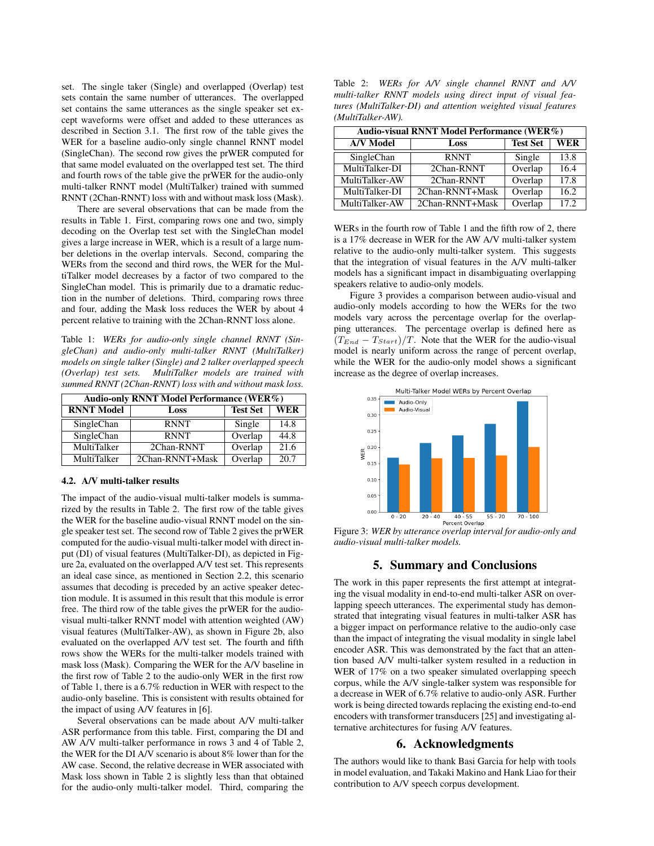set. The single taker (Single) and overlapped (Overlap) test sets contain the same number of utterances. The overlapped set contains the same utterances as the single speaker set except waveforms were offset and added to these utterances as described in Section 3.1. The first row of the table gives the WER for a baseline audio-only single channel RNNT model (SingleChan). The second row gives the prWER computed for that same model evaluated on the overlapped test set. The third and fourth rows of the table give the prWER for the audio-only multi-talker RNNT model (MultiTalker) trained with summed RNNT (2Chan-RNNT) loss with and without mask loss (Mask).

There are several observations that can be made from the results in Table 1. First, comparing rows one and two, simply decoding on the Overlap test set with the SingleChan model gives a large increase in WER, which is a result of a large number deletions in the overlap intervals. Second, comparing the WERs from the second and third rows, the WER for the MultiTalker model decreases by a factor of two compared to the SingleChan model. This is primarily due to a dramatic reduction in the number of deletions. Third, comparing rows three and four, adding the Mask loss reduces the WER by about 4 percent relative to training with the 2Chan-RNNT loss alone.

Table 1: *WERs for audio-only single channel RNNT (SingleChan) and audio-only multi-talker RNNT (MultiTalker) models on single talker (Single) and 2 talker overlapped speech (Overlap) test sets. MultiTalker models are trained with summed RNNT (2Chan-RNNT) loss with and without mask loss.*

| Audio-only RNNT Model Performance (WER%) |                 |                 |      |  |
|------------------------------------------|-----------------|-----------------|------|--|
| <b>RNNT Model</b>                        | Loss            | <b>Test Set</b> | WER  |  |
| SingleChan                               | <b>RNNT</b>     | Single          | 14.8 |  |
| SingleChan                               | <b>RNNT</b>     | Overlap         | 44.8 |  |
| MultiTalker                              | 2Chan-RNNT      | Overlap         | 21.6 |  |
| MultiTalker                              | 2Chan-RNNT+Mask | Overlap         | 20.7 |  |

### 4.2. A/V multi-talker results

The impact of the audio-visual multi-talker models is summarized by the results in Table 2. The first row of the table gives the WER for the baseline audio-visual RNNT model on the single speaker test set. The second row of Table 2 gives the prWER computed for the audio-visual multi-talker model with direct input (DI) of visual features (MultiTalker-DI), as depicted in Figure 2a, evaluated on the overlapped A/V test set. This represents an ideal case since, as mentioned in Section 2.2, this scenario assumes that decoding is preceded by an active speaker detection module. It is assumed in this result that this module is error free. The third row of the table gives the prWER for the audiovisual multi-talker RNNT model with attention weighted (AW) visual features (MultiTalker-AW), as shown in Figure 2b, also evaluated on the overlapped A/V test set. The fourth and fifth rows show the WERs for the multi-talker models trained with mask loss (Mask). Comparing the WER for the A/V baseline in the first row of Table 2 to the audio-only WER in the first row of Table 1, there is a 6.7% reduction in WER with respect to the audio-only baseline. This is consistent with results obtained for the impact of using A/V features in [6].

Several observations can be made about A/V multi-talker ASR performance from this table. First, comparing the DI and AW A/V multi-talker performance in rows 3 and 4 of Table 2, the WER for the DI A/V scenario is about 8% lower than for the AW case. Second, the relative decrease in WER associated with Mask loss shown in Table 2 is slightly less than that obtained for the audio-only multi-talker model. Third, comparing the

Table 2: *WERs for A/V single channel RNNT and A/V multi-talker RNNT models using direct input of visual features (MultiTalker-DI) and attention weighted visual features (MultiTalker-AW).*

| Audio-visual RNNT Model Performance (WER%) |                 |                 |            |  |
|--------------------------------------------|-----------------|-----------------|------------|--|
| <b>A/V</b> Model                           | Loss            | <b>Test Set</b> | <b>WER</b> |  |
| SingleChan                                 | <b>RNNT</b>     | Single          | 13.8       |  |
| MultiTalker-DI                             | 2Chan-RNNT      | Overlap         | 16.4       |  |
| MultiTalker-AW                             | 2Chan-RNNT      | Overlap         | 17.8       |  |
| MultiTalker-DI                             | 2Chan-RNNT+Mask | Overlap         | 16.2       |  |
| MultiTalker-AW                             | 2Chan-RNNT+Mask | Overlap         | 17.2       |  |

WERs in the fourth row of Table 1 and the fifth row of 2, there is a 17% decrease in WER for the AW A/V multi-talker system relative to the audio-only multi-talker system. This suggests that the integration of visual features in the A/V multi-talker models has a significant impact in disambiguating overlapping speakers relative to audio-only models.

Figure 3 provides a comparison between audio-visual and audio-only models according to how the WERs for the two models vary across the percentage overlap for the overlapping utterances. The percentage overlap is defined here as  $(T_{End} - T_{Start})/T$ . Note that the WER for the audio-visual model is nearly uniform across the range of percent overlap, while the WER for the audio-only model shows a significant increase as the degree of overlap increases.



Figure 3: *WER by utterance overlap interval for audio-only and audio-visual multi-talker models.*

# 5. Summary and Conclusions

The work in this paper represents the first attempt at integrating the visual modality in end-to-end multi-talker ASR on overlapping speech utterances. The experimental study has demonstrated that integrating visual features in multi-talker ASR has a bigger impact on performance relative to the audio-only case than the impact of integrating the visual modality in single label encoder ASR. This was demonstrated by the fact that an attention based A/V multi-talker system resulted in a reduction in WER of 17% on a two speaker simulated overlapping speech corpus, while the A/V single-talker system was responsible for a decrease in WER of 6.7% relative to audio-only ASR. Further work is being directed towards replacing the existing end-to-end encoders with transformer transducers [25] and investigating alternative architectures for fusing A/V features.

#### 6. Acknowledgments

The authors would like to thank Basi Garcia for help with tools in model evaluation, and Takaki Makino and Hank Liao for their contribution to A/V speech corpus development.